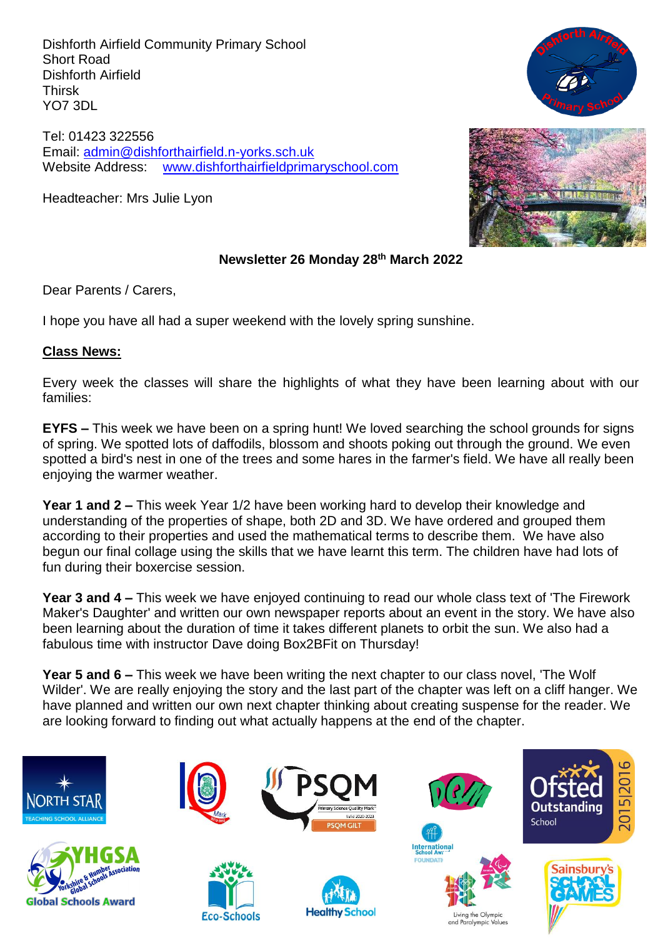Dishforth Airfield Community Primary School Short Road Dishforth Airfield Thirsk YO7 3DL

Tel: 01423 322556 Email: [admin@dishforthairfield.n-yorks.sch.uk](mailto:admin@dishforthairfield.n-yorks.sch.uk) Website Address: [www.dishforthairfieldprimaryschool.com](http://www.dishforthairfieldprimaryschool.com/)

Headteacher: Mrs Julie Lyon





# **Newsletter 26 Monday 28 th March 2022**

Dear Parents / Carers,

I hope you have all had a super weekend with the lovely spring sunshine.

# **Class News:**

Every week the classes will share the highlights of what they have been learning about with our families:

**EYFS –** This week we have been on a spring hunt! We loved searching the school grounds for signs of spring. We spotted lots of daffodils, blossom and shoots poking out through the ground. We even spotted a bird's nest in one of the trees and some hares in the farmer's field. We have all really been enjoying the warmer weather.

**Year 1 and 2 –** This week Year 1/2 have been working hard to develop their knowledge and understanding of the properties of shape, both 2D and 3D. We have ordered and grouped them according to their properties and used the mathematical terms to describe them. We have also begun our final collage using the skills that we have learnt this term. The children have had lots of fun during their boxercise session.

**Year 3 and 4 –** This week we have enjoyed continuing to read our whole class text of 'The Firework Maker's Daughter' and written our own newspaper reports about an event in the story. We have also been learning about the duration of time it takes different planets to orbit the sun. We also had a fabulous time with instructor Dave doing Box2BFit on Thursday!

**Year 5 and 6 –** This week we have been writing the next chapter to our class novel, 'The Wolf Wilder'. We are really enjoying the story and the last part of the chapter was left on a cliff hanger. We have planned and written our own next chapter thinking about creating suspense for the reader. We are looking forward to finding out what actually happens at the end of the chapter.

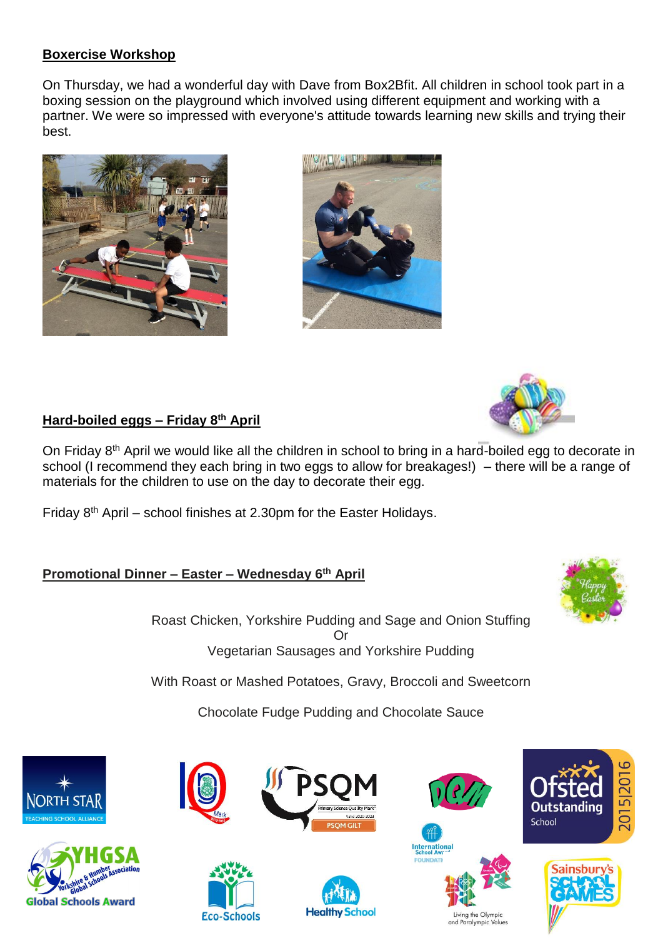# **Boxercise Workshop**

On Thursday, we had a wonderful day with Dave from Box2Bfit. All children in school took part in a boxing session on the playground which involved using different equipment and working with a partner. We were so impressed with everyone's attitude towards learning new skills and trying their best.







# **Hard-boiled eggs – Friday 8 th April**

On Friday 8<sup>th</sup> April we would like all the children in school to bring in a hard-boiled egg to decorate in school (I recommend they each bring in two eggs to allow for breakages!) – there will be a range of materials for the children to use on the day to decorate their egg.

Friday  $8<sup>th</sup>$  April – school finishes at 2.30pm for the Easter Holidays.

# **Promotional Dinner – Easter – Wednesday 6 th April**



Roast Chicken, Yorkshire Pudding and Sage and Onion Stuffing Or Vegetarian Sausages and Yorkshire Pudding

With Roast or Mashed Potatoes, Gravy, Broccoli and Sweetcorn

Chocolate Fudge Pudding and Chocolate Sauce







**Eco-Schools** 









Living the Olympic

and Paralympic Values



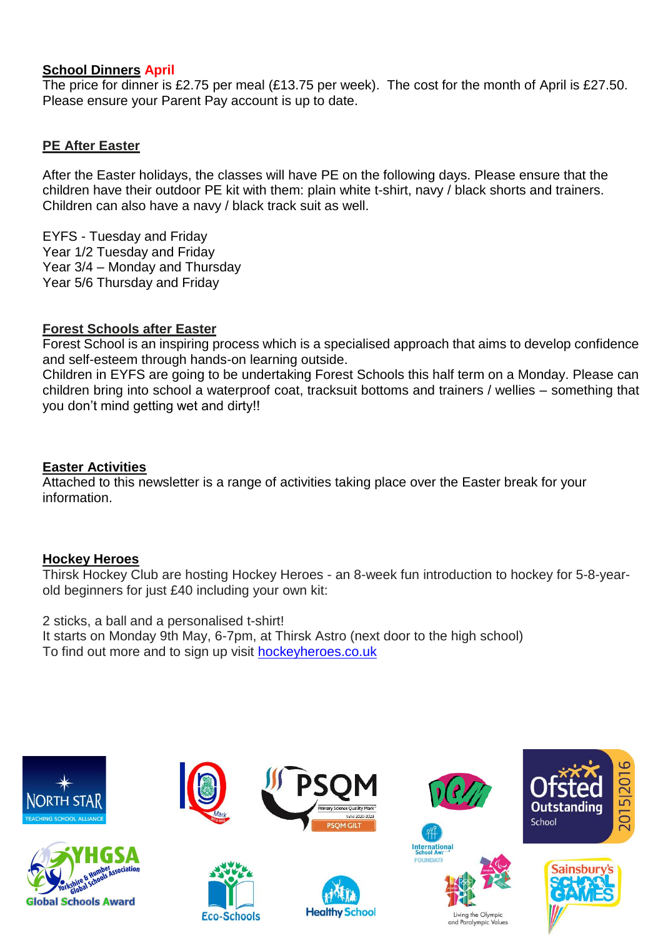## **School Dinners April**

The price for dinner is £2.75 per meal (£13.75 per week). The cost for the month of April is £27.50. Please ensure your Parent Pay account is up to date.

# **PE After Easter**

After the Easter holidays, the classes will have PE on the following days. Please ensure that the children have their outdoor PE kit with them: plain white t-shirt, navy / black shorts and trainers. Children can also have a navy / black track suit as well.

EYFS - Tuesday and Friday Year 1/2 Tuesday and Friday Year 3/4 – Monday and Thursday Year 5/6 Thursday and Friday

# **Forest Schools after Easter**

Forest School is an inspiring process which is a specialised approach that aims to develop confidence and self-esteem through hands-on learning outside.

Children in EYFS are going to be undertaking Forest Schools this half term on a Monday. Please can children bring into school a waterproof coat, tracksuit bottoms and trainers / wellies – something that you don't mind getting wet and dirty!!

#### **Easter Activities**

Attached to this newsletter is a range of activities taking place over the Easter break for your information.

#### **Hockey Heroes**

Thirsk Hockey Club are hosting Hockey Heroes - an 8-week fun introduction to hockey for 5-8-yearold beginners for just £40 including your own kit:

2 sticks, a ball and a personalised t-shirt! It starts on Monday 9th May, 6-7pm, at Thirsk Astro (next door to the high school) To find out more and to sign up visit [hockeyheroes.co.uk](http://hockeyheroes.co.uk/)

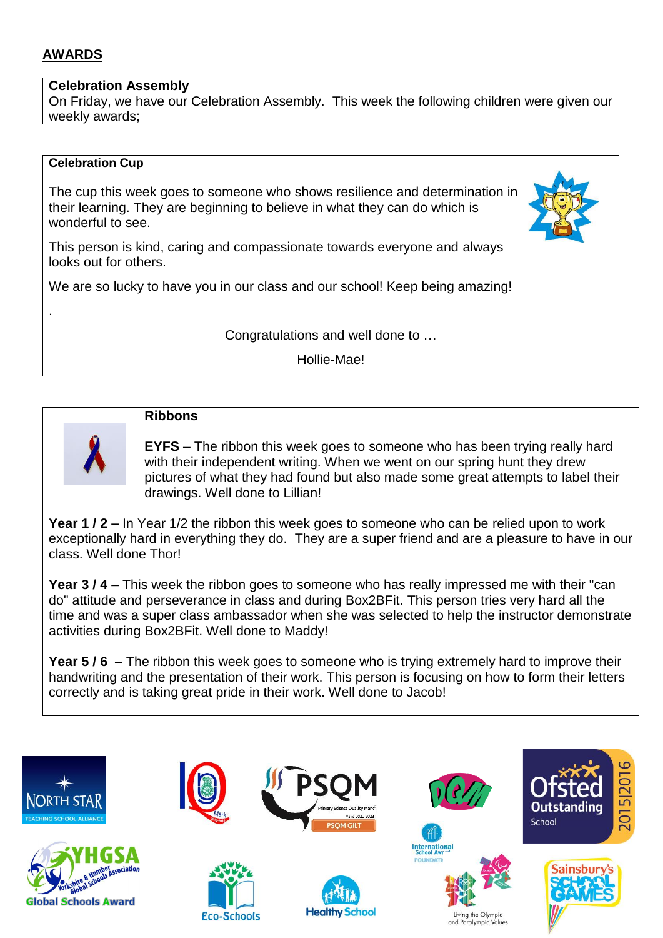# **AWARDS**

.

# **Celebration Assembly**

On Friday, we have our Celebration Assembly. This week the following children were given our weekly awards;

## **Celebration Cup**

The cup this week goes to someone who shows resilience and determination in their learning. They are beginning to believe in what they can do which is wonderful to see.



We are so lucky to have you in our class and our school! Keep being amazing!

Congratulations and well done to …

Hollie-Mae!



# **Ribbons**

**EYFS** – The ribbon this week goes to someone who has been trying really hard with their independent writing. When we went on our spring hunt they drew pictures of what they had found but also made some great attempts to label their drawings. Well done to Lillian!

**Year 1 / 2 –** In Year 1/2 the ribbon this week goes to someone who can be relied upon to work exceptionally hard in everything they do. They are a super friend and are a pleasure to have in our class. Well done Thor!

**Year 3 / 4** – This week the ribbon goes to someone who has really impressed me with their "can do" attitude and perseverance in class and during Box2BFit. This person tries very hard all the time and was a super class ambassador when she was selected to help the instructor demonstrate activities during Box2BFit. Well done to Maddy!

**Year 5 / 6** – The ribbon this week goes to someone who is trying extremely hard to improve their handwriting and the presentation of their work. This person is focusing on how to form their letters correctly and is taking great pride in their work. Well done to Jacob!

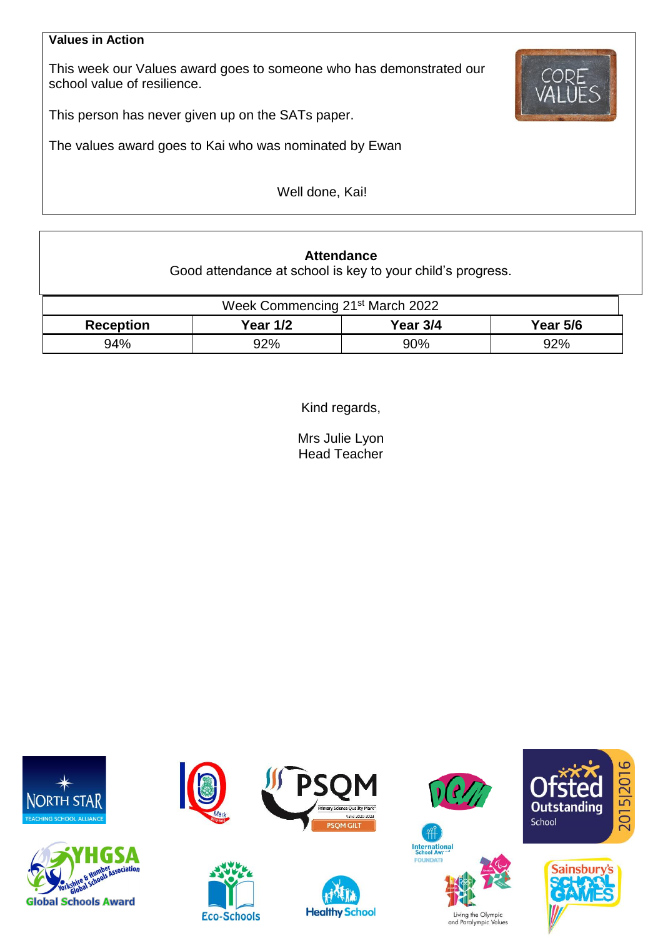#### **Values in Action**

This week our Values award goes to someone who has demonstrated our school value of resilience.



This person has never given up on the SATs paper.

The values award goes to Kai who was nominated by Ewan

Well done, Kai!

# **Attendance**

Good attendance at school is key to your child's progress.

| Week Commencing 21 <sup>st</sup> March 2022 |          |          |                 |  |  |  |
|---------------------------------------------|----------|----------|-----------------|--|--|--|
| <b>Reception</b>                            | Year 1/2 | Year 3/4 | <b>Year 5/6</b> |  |  |  |
| 94%                                         | 92%      | 90%      | 92%             |  |  |  |

Kind regards,

Mrs Julie Lyon Head Teacher